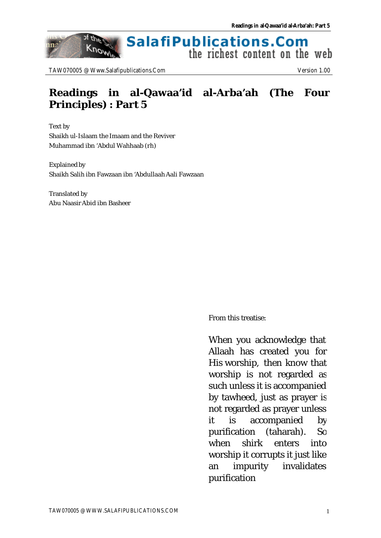#### **SalafiPublications.Com** Know the richest content on the web

TAW070005 @ Www.Salafipublications.Com Version 1.00

of the

nn:

## **Readings in al-Qawaa'id al-Arba'ah (The Four Principles) : Part 5**

Text by Shaikh ul-Islaam the Imaam and the Reviver Muhammad ibn 'Abdul Wahhaab (rh)

Explained by Shaikh Salih ibn Fawzaan ibn 'Abdullaah Aali Fawzaan

Translated by Abu Naasir Abid ibn Basheer

From this treatise:

When you acknowledge that Allaah has created you for His worship, then know that worship is not regarded as such unless it is accompanied by tawheed, just as prayer is not regarded as prayer unless it is accompanied by purification (taharah). So when shirk enters into worship it corrupts it just like an impurity invalidates purification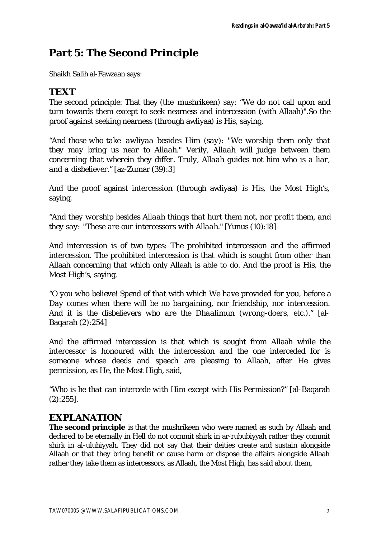# **Part 5: The Second Principle**

Shaikh Salih al-Fawzaan says:

### **TEXT**

The second principle: That they (the mushrikeen) say: "We do not call upon and turn towards them except to seek nearness and intercession (with Allaah)".So the proof against seeking nearness (through awliyaa) is His, saying,

*"And those who take awliyaa besides Him (say): "We worship them only that they may bring us near to Allaah." Verily, Allaah will judge between them concerning that wherein they differ. Truly, Allaah guides not him who is a liar, and a disbeliever."* [az-Zumar (39):3]

And the proof against intercession (through awliyaa) is His, the Most High's, saying,

*"And they worship besides Allaah things that hurt them not, nor profit them, and they say: "These are our intercessors with Allaah."* [Yunus (10):18]

And intercession is of two types: The prohibited intercession and the affirmed intercession. The prohibited intercession is that which is sought from other than Allaah concerning that which only Allaah is able to do. And the proof is His, the Most High's, saying,

*"O you who believe! Spend of that with which We have provided for you, before a Day comes when there will be no bargaining, nor friendship, nor intercession. And it is the disbelievers who are the Dhaalimun (wrong-doers, etc.)."* [al-Baqarah (2):254]

And the affirmed intercession is that which is sought from Allaah while the intercessor is honoured with the intercession and the one interceded for is someone whose deeds and speech are pleasing to Allaah, after He gives permission, as He, the Most High, said,

*"Who is he that can intercede with Him except with His Permission?"* [al-Baqarah (2):255].

### **EXPLANATION**

**The second principle** is that the mushrikeen who were named as such by Allaah and declared to be eternally in Hell do not commit shirk in ar-rububiyyah rather they commit shirk in al-uluhiyyah. They did not say that their deities create and sustain alongside Allaah or that they bring benefit or cause harm or dispose the affairs alongside Allaah rather they take them as intercessors, as Allaah, the Most High, has said about them,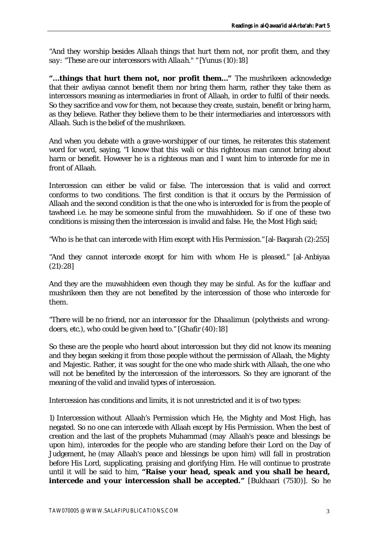*"And they worship besides Allaah things that hurt them not, nor profit them, and they say: "These are our intercessors with Allaah." "* [Yunus (10):18]

*"…things that hurt them not, nor profit them..."* The mushrikeen acknowledge that their awliyaa cannot benefit them nor bring them harm, rather they take them as intercessors meaning as intermediaries in front of Allaah, in order to fulfil of their needs. So they sacrifice and vow for them, not because they create, sustain, benefit or bring harm, as they believe. Rather they believe them to be their intermediaries and intercessors with Allaah. Such is the belief of the mushrikeen.

And when you debate with a grave-worshipper of our times, he reiterates this statement word for word, saying, "I know that this wali or this righteous man cannot bring about harm or benefit. However he is a righteous man and I want him to intercede for me in front of Allaah.

Intercession can either be valid or false. The intercession that is valid and correct conforms to two conditions. The first condition is that it occurs by the Permission of Allaah and the second condition is that the one who is interceded for is from the people of tawheed i.e. he may be someone sinful from the muwahhideen. So if one of these two conditions is missing then the intercession is invalid and false. He, the Most High said;

*"Who is he that can intercede with Him except with His Permission."* [al-Baqarah (2):255]

*"And they cannot intercede except for him with whom He is pleased."* [al-Anbiyaa (21):28]

And they are the muwahhideen even though they may be sinful. As for the kuffaar and mushrikeen then they are not benefited by the intercession of those who intercede for them.

*"There will be no friend, nor an intercessor for the Dhaalimun (polytheists and wrongdoers, etc.), who could be given heed to."* [Ghafir (40):18]

So these are the people who heard about intercession but they did not know its meaning and they began seeking it from those people without the permission of Allaah, the Mighty and Majestic. Rather, it was sought for the one who made shirk with Allaah, the one who will not be benefited by the intercession of the intercessors. So they are ignorant of the meaning of the valid and invalid types of intercession.

Intercession has conditions and limits, it is not unrestricted and it is of two types:

1) Intercession without Allaah's Permission which He, the Mighty and Most High, has negated. So no one can intercede with Allaah except by His Permission. When the best of creation and the last of the prophets Muhammad (may Allaah's peace and blessings be upon him), intercedes for the people who are standing before their Lord on the Day of Judgement, he (may Allaah's peace and blessings be upon him) will fall in prostration before His Lord, supplicating, praising and glorifying Him. He will continue to prostrate until it will be said to him, *"Raise your head, speak and you shall be heard, intercede and your intercession shall be accepted.*" [Bukhaari (7510)]. So he